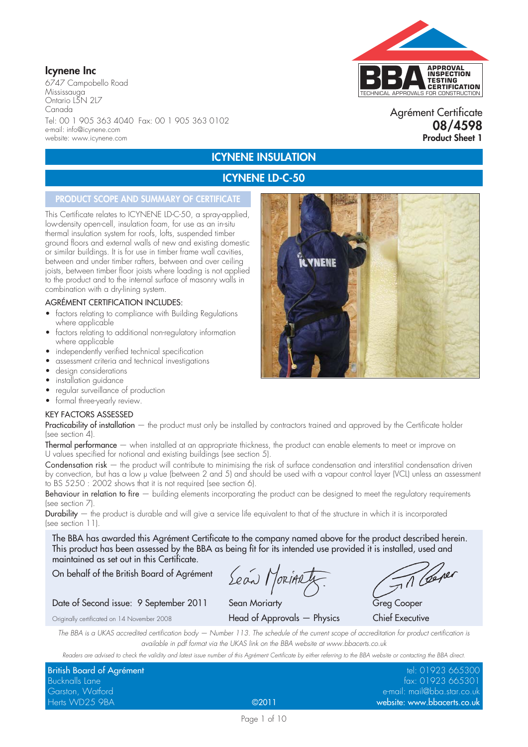## **Icynene Inc**

6747 Campobello Road Mississauga Ontario L5N 2L7 Canada Tel: 00 1 905 363 4040 Fax: 00 1 905 363 0102 e-mail: info@icynene.com website: www.icynene.com

# TECHNICAL APPROVALS FOR CONSTRUCTION **APPROVAL INSPECTION TESTING CERTIFICATION**

### Agrément Certificate **08/4598 Product Sheet 1**

## **ICYNENE INSULATION ICYNENE LD-C-50**

## **PRODUCT SCOPE AND SUMMARY OF CERTIFICATE**

This Certificate relates to ICYNENE LD-C-50, a spray-applied, low-density open-cell, insulation foam, for use as an in-situ thermal insulation system for roofs, lofts, suspended timber ground floors and external walls of new and existing domestic or similar buildings. It is for use in timber frame wall cavities, between and under timber rafters, between and over ceiling joists, between timber floor joists where loading is not applied to the product and to the internal surface of masonry walls in combination with a dry-lining system.

#### AGRÉMENT CERTIFICATION INCLUDES:

- factors relating to compliance with Building Regulations where applicable
- factors relating to additional non-regulatory information where applicable
- independently verified technical specification
- assessment criteria and technical investigations
- design considerations
- installation guidance
- regular surveillance of production
- formal three-yearly review.

#### KEY FACTORS ASSESSED

Practicability of installation — the product must only be installed by contractors trained and approved by the Certificate holder (see section 4).

Thermal performance — when installed at an appropriate thickness, the product can enable elements to meet or improve on U values specified for notional and existing buildings (see section 5).

Condensation risk – the product will contribute to minimising the risk of surface condensation and interstitial condensation driven by convection, but has a low µ value (between 2 and 5) and should be used with a vapour control layer (VCL) unless an assessment to BS 5250 : 2002 shows that it is not required (see section 6).

Behaviour in relation to fire — building elements incorporating the product can be designed to meet the regulatory requirements (see section 7).

Durability — the product is durable and will give a service life equivalent to that of the structure in which it is incorporated (see section 11).

The BBA has awarded this Agrément Certificate to the company named above for the product described herein. This product has been assessed by the BBA as being fit for its intended use provided it is installed, used and maintained as set out in this Certificate.

On behalf of the British Board of Agrément

Lean Morinaty

Date of Second issue: 9 September 2011 Sean Moriarty Greg Cooper

Originally certificated on 14 November 2008 Head of Approvals — Physics Chief Executive

Til Ceper

*The BBA is a UKAS accredited certification body — Number 113. The schedule of the current scope of accreditation for product certification is available in pdf format via the UKAS link on the BBA website at www.bbacerts.co.uk*

*Readers are advised to check the validity and latest issue number of this Agrément Certificate by either referring to the BBA website or contacting the BBA direct.*

| <b>British Board of Agrément</b> |       | tel: 01923 665300           |
|----------------------------------|-------|-----------------------------|
| Bucknalls Lane                   |       | fax: 01923 665301           |
| Garston, Watford                 |       | e-mail: mail@bba.star.co.uk |
| Herts WD25 9BA                   | @2011 | website: www.bbacerts.co.uk |



Page 1 of 10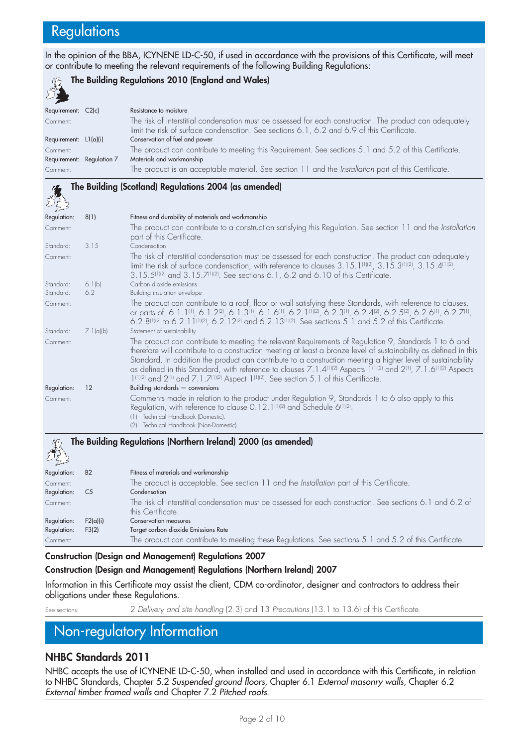## **Regulations**

In the opinion of the BBA, ICYNENE LD-C-50, if used in accordance with the provisions of this Certificate, will meet or contribute to meeting the relevant requirements of the following Building Regulations:

#### **The Building Regulations 2010 (England and Wales)**  $732$

| <b>Contract Contract Contract</b> |                                                                                                                                                                                                        |
|-----------------------------------|--------------------------------------------------------------------------------------------------------------------------------------------------------------------------------------------------------|
| Requirement: C2(c)                | Resistance to moisture                                                                                                                                                                                 |
| Comment:                          | The risk of interstitial condensation must be assessed for each construction. The product can adequately<br>limit the risk of surface condensation. See sections 6.1, 6.2 and 6.9 of this Certificate. |
| Requirement: $L1(a)(i)$           | Conservation of fuel and power                                                                                                                                                                         |
| Comment:                          | The product can contribute to meeting this Requirement. See sections 5.1 and 5.2 of this Certificate.                                                                                                  |
| Requirement: Regulation 7         | Materials and workmanship                                                                                                                                                                              |
| Comment:                          | The product is an acceptable material. See section 11 and the Installation part of this Certificate.                                                                                                   |

|             |                | The Building (Scotland) Regulations 2004 (as amended)                                                                                                                                                                                                                                                                                                                                                                                                                                                                                                                                                  |
|-------------|----------------|--------------------------------------------------------------------------------------------------------------------------------------------------------------------------------------------------------------------------------------------------------------------------------------------------------------------------------------------------------------------------------------------------------------------------------------------------------------------------------------------------------------------------------------------------------------------------------------------------------|
|             |                |                                                                                                                                                                                                                                                                                                                                                                                                                                                                                                                                                                                                        |
| Regulation: | 8(1)           | Fitness and durability of materials and workmanship                                                                                                                                                                                                                                                                                                                                                                                                                                                                                                                                                    |
| Comment:    |                | The product can contribute to a construction satisfying this Regulation. See section 11 and the Installation<br>part of this Certificate.                                                                                                                                                                                                                                                                                                                                                                                                                                                              |
| Standard:   | 3.15           | Condensation                                                                                                                                                                                                                                                                                                                                                                                                                                                                                                                                                                                           |
| Comment:    |                | The risk of interstitial condensation must be assessed for each construction. The product can adequately<br>limit the risk of surface condensation, with reference to clauses $3.15.1^{(11/2)}$ , $3.15.3^{(11/2)}$ , $3.15.4^{(11/2)}$ ,<br>3.15.5 <sup>(1)(2)</sup> and 3.15.7 <sup>(1)(2)</sup> . See sections 6.1, 6.2 and 6.10 of this Certificate.                                                                                                                                                                                                                                               |
| Standard:   | 6.1(b)         | Carbon dioxide emissions                                                                                                                                                                                                                                                                                                                                                                                                                                                                                                                                                                               |
| Standard:   | 6.2            | Building insulation envelope                                                                                                                                                                                                                                                                                                                                                                                                                                                                                                                                                                           |
| Comment:    |                | The product can contribute to a roof, floor or wall satisfying these Standards, with reference to clauses,<br>or parts of, 6.1.1 <sup>(1)</sup> , 6.1.2 <sup>(2)</sup> , 6.1.3 <sup>(1)</sup> , 6.1.6 <sup>(1)</sup> , 6.2.1 <sup>(1)</sup> (2), 6.2.3 <sup>(1)</sup> , 6.2.4 <sup>(2)</sup> , 6.2.5 <sup>(2)</sup> , 6.2.6 <sup>(1)</sup> , 6.2.7 <sup>(1)</sup> ,<br>6.2.8(1)(2) to 6.2.1 1(1)(2), 6.2.1 2(2) and 6.2.1 3(1)(2). See sections 5.1 and 5.2 of this Certificate.                                                                                                                       |
| Standard:   | 7.1(a  b)      | Statement of sustainability                                                                                                                                                                                                                                                                                                                                                                                                                                                                                                                                                                            |
| Comment:    |                | The product can contribute to meeting the relevant Requirements of Regulation 9, Standards 1 to 6 and<br>therefore will contribute to a construction meeting at least a bronze level of sustainability as defined in this<br>Standard. In addition the product can contribute to a construction meeting a higher level of sustainability<br>as defined in this Standard, with reference to clauses 7.1.4 <sup>(1)(2)</sup> Aspects 1 <sup>(1)(2)</sup> and 2 <sup>(1)</sup> , 7.1.6 <sup>(1)(2)</sup> Aspects<br>1(1)(2) and 2(1) and 7.1.7(1)(2) Aspect 1(1)(2). See section 5.1 of this Certificate. |
| Regulation: | 12             | Building standards $-$ conversions                                                                                                                                                                                                                                                                                                                                                                                                                                                                                                                                                                     |
| Comment:    |                | Comments made in relation to the product under Regulation 9, Standards 1 to 6 also apply to this<br>Regulation, with reference to clause 0.12.1 <sup>(1)(2)</sup> and Schedule 6 <sup>(1)(2)</sup> .<br>(1) Technical Handbook (Domestic).<br>(2) Technical Handbook (Non-Domestic).                                                                                                                                                                                                                                                                                                                   |
|             |                | The Building Regulations (Northern Ireland) 2000 (as amended)                                                                                                                                                                                                                                                                                                                                                                                                                                                                                                                                          |
| Regulation: | <b>B2</b>      | Fitness of materials and workmanship                                                                                                                                                                                                                                                                                                                                                                                                                                                                                                                                                                   |
| Comment:    |                | The product is acceptable. See section 11 and the Installation part of this Certificate.                                                                                                                                                                                                                                                                                                                                                                                                                                                                                                               |
| Regulation: | C <sub>5</sub> | Condensation                                                                                                                                                                                                                                                                                                                                                                                                                                                                                                                                                                                           |
| Comment:    |                | The risk of interstitial condensation must be assessed for each construction. See sections 6.1 and 6.2 of<br>this Certificate.                                                                                                                                                                                                                                                                                                                                                                                                                                                                         |
| Regulation: | F2(a)(i)       | Conservation measures                                                                                                                                                                                                                                                                                                                                                                                                                                                                                                                                                                                  |
| Regulation: | F3(2)          | Target carbon dioxide Emissions Rate                                                                                                                                                                                                                                                                                                                                                                                                                                                                                                                                                                   |

## **Construction (Design and Management) Regulations 2007**

#### **Construction (Design and Management) Regulations (Northern Ireland) 2007**

Information in this Certificate may assist the client, CDM co-ordinator, designer and contractors to address their obligations under these Regulations.

Comment: The product can contribute to meeting these Regulations. See sections 5.1 and 5.2 of this Certificate.

See sections: 2 *Delivery and site handling* (2.3) and 13 *Precautions* (13.1 to 13.6) of this Certificate.

## Non-regulatory Information

## **NHBC Standards 2011**

NHBC accepts the use of ICYNENE LD-C-50, when installed and used in accordance with this Certificate, in relation to NHBC Standards, Chapter 5.2 *Suspended ground floors*, Chapter 6.1 *External masonry walls*, Chapter 6.2 *External timber framed walls* and Chapter 7.2 *Pitched roofs*.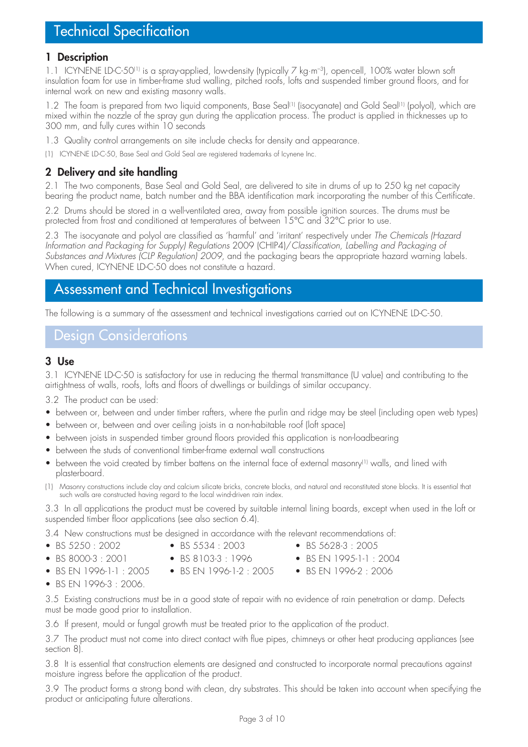### **1 Description**

1.1 ICYNENE LD-C-50<sup>(1)</sup> is a spray-applied, low-density (typically 7 kg·m<sup>-3</sup>), open-cell, 100% water blown soft insulation foam for use in timber-frame stud walling, pitched roofs, lofts and suspended timber ground floors, and for internal work on new and existing masonry walls.

1.2 The foam is prepared from two liquid components, Base Seal<sup>(1)</sup> (isocyanate) and Gold Seal<sup>(1)</sup> (polyol), which are mixed within the nozzle of the spray gun during the application process. The product is applied in thicknesses up to 300 mm, and fully cures within 10 seconds

1.3 Quality control arrangements on site include checks for density and appearance.

(1) ICYNENE LD-C-50, Base Seal and Gold Seal are registered trademarks of Icynene Inc.

## **2 Delivery and site handling**

2.1 The two components, Base Seal and Gold Seal, are delivered to site in drums of up to 250 kg net capacity bearing the product name, batch number and the BBA identification mark incorporating the number of this Certificate.

2.2 Drums should be stored in a well-ventilated area, away from possible ignition sources. The drums must be protected from frost and conditioned at temperatures of between 15°C and 32°C prior to use.

2.3 The isocyanate and polyol are classified as 'harmful' and 'irritant' respectively under *The Chemicals (Hazard Information and Packaging for Supply) Regulations* 2009 (CHIP4)/*Classification, Labelling and Packaging of Substances and Mixtures (CLP Regulation) 2009*, and the packaging bears the appropriate hazard warning labels. When cured, ICYNENE LD-C-50 does not constitute a hazard.

## Assessment and Technical Investigations

The following is a summary of the assessment and technical investigations carried out on ICYNENE LD-C-50.

## Design Considerations

### **3 Use**

3.1 ICYNENE LD-C-50 is satisfactory for use in reducing the thermal transmittance (U value) and contributing to the airtightness of walls, roofs, lofts and floors of dwellings or buildings of similar occupancy.

3.2 The product can be used:

- between or, between and under timber rafters, where the purlin and ridge may be steel (including open web types)
- between or, between and over ceiling joists in a non-habitable roof (loft space)
- between joists in suspended timber ground floors provided this application is non-loadbearing
- between the studs of conventional timber-frame external wall constructions
- between the void created by timber battens on the internal face of external masonry<sup>(1)</sup> walls, and lined with plasterboard.
- (1) Masonry constructions include clay and calcium silicate bricks, concrete blocks, and natural and reconstituted stone blocks. It is essential that such walls are constructed having regard to the local wind-driven rain index.

3.3 In all applications the product must be covered by suitable internal lining boards, except when used in the loft or suspended timber floor applications (see also section 6.4).

3.4 New constructions must be designed in accordance with the relevant recommendations of:

- 
- 
- BS 5250 : 2002 BS 5534 : 2003 BS 5628-3 : 2005
- BS 8000-3 : 2001 BS 8103-3 : 1996 BS EN 1995-1-1 : 2004
- 
- 
- BS EN 1996-1-1 : 2005 BS EN 1996-1-2 : 2005 BS EN 1996-2 : 2006
- -
- BS EN 1996-3 : 2006.

3.5 Existing constructions must be in a good state of repair with no evidence of rain penetration or damp. Defects must be made good prior to installation.

3.6 If present, mould or fungal growth must be treated prior to the application of the product.

3.7 The product must not come into direct contact with flue pipes, chimneys or other heat producing appliances (see section 8).

3.8 It is essential that construction elements are designed and constructed to incorporate normal precautions against moisture ingress before the application of the product.

3.9 The product forms a strong bond with clean, dry substrates. This should be taken into account when specifying the product or anticipating future alterations.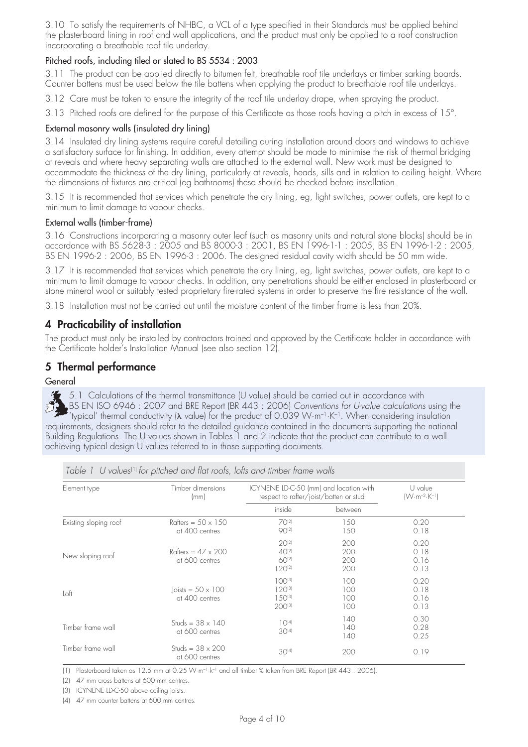3.10 To satisfy the requirements of NHBC, a VCL of a type specified in their Standards must be applied behind the plasterboard lining in roof and wall applications, and the product must only be applied to a roof construction incorporating a breathable roof tile underlay.

#### Pitched roofs, including tiled or slated to BS 5534 : 2003

3.11 The product can be applied directly to bitumen felt, breathable roof tile underlays or timber sarking boards. Counter battens must be used below the tile battens when applying the product to breathable roof tile underlays.

3.12 Care must be taken to ensure the integrity of the roof tile underlay drape, when spraying the product.

3.13 Pitched roofs are defined for the purpose of this Certificate as those roofs having a pitch in excess of 15°.

#### External masonry walls (insulated dry lining)

3.14 Insulated dry lining systems require careful detailing during installation around doors and windows to achieve a satisfactory surface for finishing. In addition, every attempt should be made to minimise the risk of thermal bridging at reveals and where heavy separating walls are attached to the external wall. New work must be designed to accommodate the thickness of the dry lining, particularly at reveals, heads, sills and in relation to ceiling height. Where the dimensions of fixtures are critical (eg bathrooms) these should be checked before installation.

3.15 It is recommended that services which penetrate the dry lining, eg, light switches, power outlets, are kept to a minimum to limit damage to vapour checks.

#### External walls (timber-frame)

3.16 Constructions incorporating a masonry outer leaf (such as masonry units and natural stone blocks) should be in accordance with BS 5628-3 : 2005 and BS 8000-3 : 2001, BS EN 1996-1-1 : 2005, BS EN 1996-1-2 : 2005, BS EN 1996-2 : 2006, BS EN 1996-3 : 2006. The designed residual cavity width should be 50 mm wide.

3.17 It is recommended that services which penetrate the dry lining, eg, light switches, power outlets, are kept to a minimum to limit damage to vapour checks. In addition, any penetrations should be either enclosed in plasterboard or stone mineral wool or suitably tested proprietary fire-rated systems in order to preserve the fire resistance of the wall.

3.18 Installation must not be carried out until the moisture content of the timber frame is less than 20%.

## **4 Practicability of installation**

The product must only be installed by contractors trained and approved by the Certificate holder in accordance with the Certificate holder's Installation Manual (see also section 12).

## **5 Thermal performance**

#### General

5.1 Calculations of the thermal transmittance (U value) should be carried out in accordance with BS EN ISO 6946 : 2007 and BRE Report (BR 443 : 2006) *Conventions for U-value calculations* using the 'typical' thermal conductivity ( $\lambda$  value) for the product of 0.039 W·m<sup>-1</sup>·K<sup>-1</sup>. When considering insulation requirements, designers should refer to the detailed guidance contained in the documents supporting the national Building Regulations. The U values shown in Tables 1 and 2 indicate that the product can contribute to a wall achieving typical design U values referred to in those supporting documents.

| Element type          | Timber dimensions<br>(mm)                         | ICYNENE LD-C-50 (mm) and location with<br>respect to rafter/joist/batten or stud |                          | U value<br>$(W·m-2·K-1)$     |
|-----------------------|---------------------------------------------------|----------------------------------------------------------------------------------|--------------------------|------------------------------|
|                       |                                                   | inside                                                                           | between                  |                              |
| Existing sloping roof | Rafters = $50 \times 150$<br>at 400 centres       | $70^{21}$<br>$90^{2}$                                                            | 150<br>150               | 0.20<br>0.18                 |
| New sloping roof      | Rafters = $47 \times 200$<br>at 600 centres       | $20^{21}$<br>$40^{(2)}$<br>60(2)<br>$120^{(2)}$                                  | 200<br>200<br>200<br>200 | 0.20<br>0.18<br>0.16<br>0.13 |
| Loft                  | $\text{loists} = 50 \times 100$<br>at 400 centres | $100^{(3)}$<br>$120^{(3)}$<br>$1.50^{(3)}$<br>200(3)                             | 100<br>100<br>100<br>100 | 0.20<br>0.18<br>0.16<br>0.13 |
| Timber frame wall     | Studs = $38 \times 140$<br>at 600 centres         | $10^{(4)}$<br>$30^{[4]}$                                                         | 140<br>140<br>140        | 0.30<br>0.28<br>0.25         |
| Timber frame wall     | Studs = $38 \times 200$<br>at 600 centres         | $30^{[4]}$                                                                       | 200                      | 0.19                         |

*Table 1 U values<sup>(1)</sup> for pitched and flat roofs, lofts and timber frame walls* 

(1) Plasterboard taken as 12.5 mm at 0.25 W·m–1·k–1 and all timber % taken from BRE Report (BR 443 : 2006).

(2) 47 mm cross battens at 600 mm centres.

(3) ICYNENE LD-C-50 above ceiling joists.

(4) 47 mm counter battens at 600 mm centres.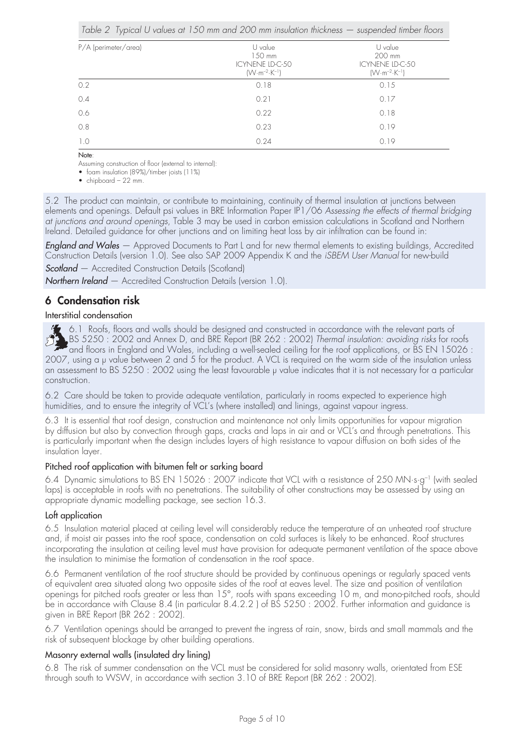|                      | Table 2 Typical U values at 150 mm and 200 mm insulation thickness — suspended timber floors |                                                                         |
|----------------------|----------------------------------------------------------------------------------------------|-------------------------------------------------------------------------|
| P/A (perimeter/area) | U value<br>$150$ mm<br>ICYNENE LD-C-50<br>$(W \cdot m^{-2} \cdot K^{-1})$                    | U value<br>200 mm<br>ICYNENE LD-C-50<br>$(W \cdot m^{-2} \cdot K^{-1})$ |
| 0.2                  | 0.18                                                                                         | 0.15                                                                    |
| 0.4                  | 0.21                                                                                         | 0.17                                                                    |
| 0.6                  | 0.22                                                                                         | 0.18                                                                    |
| 0.8                  | 0.23                                                                                         | 0.19                                                                    |
| 1.0                  | 0.24                                                                                         | 0.19                                                                    |

Note:

Assuming construction of floor (external to internal):

• foam insulation (89%)/timber joists (11%)

• chipboard – 22 mm.

5.2 The product can maintain, or contribute to maintaining, continuity of thermal insulation at junctions between elements and openings. Default psi values in BRE Information Paper IP1/06 *Assessing the effects of thermal bridging at junctions and around openings*, Table 3 may be used in carbon emission calculations in Scotland and Northern Ireland. Detailed guidance for other junctions and on limiting heat loss by air infiltration can be found in:

*England and Wales* — Approved Documents to Part L and for new thermal elements to existing buildings, Accredited Construction Details (version 1.0). See also SAP 2009 Appendix K and the *iSBEM User Manual* for new-build

**Scotland** – Accredited Construction Details (Scotland)

*Northern Ireland* — Accredited Construction Details (version 1.0).

## **6 Condensation risk**

#### Interstitial condensation

6.1 Roofs, floors and walls should be designed and constructed in accordance with the relevant parts of BS 5250 : 2002 and Annex D, and BRE Report (BR 262 : 2002) *Thermal insulation: avoiding risks* for roofs and floors in England and Wales, including a well-sealed ceiling for the roof applications, or BS EN 15026 : 2007, using a µ value between 2 and 5 for the product. A VCL is required on the warm side of the insulation unless an assessment to BS 5250 : 2002 using the least favourable y value indicates that it is not necessary for a particular construction.

6.2 Care should be taken to provide adequate ventilation, particularly in rooms expected to experience high humidities, and to ensure the integrity of VCL's (where installed) and linings, against vapour ingress.

6.3 It is essential that roof design, construction and maintenance not only limits opportunities for vapour migration by diffusion but also by convection through gaps, cracks and laps in air and or VCL's and through penetrations. This is particularly important when the design includes layers of high resistance to vapour diffusion on both sides of the insulation layer.

#### Pitched roof application with bitumen felt or sarking board

6.4 Dynamic simulations to BS EN 15026 : 2007 indicate that VCL with a resistance of 250 MN·s·g–1 (with sealed laps) is acceptable in roofs with no penetrations. The suitability of other constructions may be assessed by using an appropriate dynamic modelling package, see section 16.3.

#### Loft application

6.5 Insulation material placed at ceiling level will considerably reduce the temperature of an unheated roof structure and, if moist air passes into the roof space, condensation on cold surfaces is likely to be enhanced. Roof structures incorporating the insulation at ceiling level must have provision for adequate permanent ventilation of the space above the insulation to minimise the formation of condensation in the roof space.

6.6 Permanent ventilation of the roof structure should be provided by continuous openings or regularly spaced vents of equivalent area situated along two opposite sides of the roof at eaves level. The size and position of ventilation openings for pitched roofs greater or less than 15°, roofs with spans exceeding 10 m, and mono-pitched roofs, should be in accordance with Clause 8.4 (in particular 8.4.2.2 ) of BS 5250 : 2002. Further information and guidance is given in BRE Report (BR 262 : 2002).

6.7 Ventilation openings should be arranged to prevent the ingress of rain, snow, birds and small mammals and the risk of subsequent blockage by other building operations.

#### Masonry external walls (insulated dry lining)

6.8 The risk of summer condensation on the VCL must be considered for solid masonry walls, orientated from ESE through south to WSW, in accordance with section 3.10 of BRE Report (BR 262 : 2002).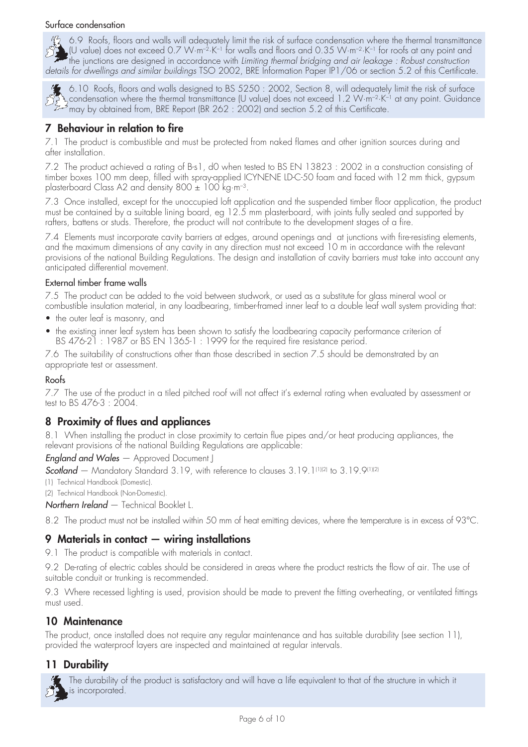#### Surface condensation

 $\frac{M_2}{M_1}$  6.9 Roofs, floors and walls will adequately limit the risk of surface condensation where the thermal transmittance<br> $\frac{M_1}{M_2}$  (U value) does not exceed 0.7 W·m<sup>-2</sup>·K<sup>-1</sup> for walls and floors and 0.35 W·m<sup></sup> (U value) does not exceed 0.7 W·m<sup>-2</sup>·K<sup>-1</sup> for walls and floors and 0.35 W·m<sup>-2</sup>·K<sup>-1</sup> for roofs at any point and the junctions are designed in accordance with *Limiting thermal bridging and air leakage : Robust construction details for dwellings and similar buildings* TSO 2002, BRE Information Paper IP1/06 or section 5.2 of this Certificate.



6.10 Roofs, floors and walls designed to BS 5250 : 2002, Section 8, will adequately limit the risk of surface  $\lambda$  condensation where the thermal transmittance (U value) does not exceed 1.2 W·m<sup>-2</sup>·K<sup>-1</sup> at any point. Guidance  $\begin{matrix} 1 & 0 \\ 0 & 1 \end{matrix}$  condensation where the thermal transmittance to value, about the sheet of this Certificate.

## **7 Behaviour in relation to fire**

7.1 The product is combustible and must be protected from naked flames and other ignition sources during and after installation.

7.2 The product achieved a rating of B-s1, d0 when tested to BS EN 13823 : 2002 in a construction consisting of timber boxes 100 mm deep, filled with spray-applied ICYNENE LD-C-50 foam and faced with 12 mm thick, gypsum plasterboard Class A2 and density 800 ± 100 kg·m–3.

7.3 Once installed, except for the unoccupied loft application and the suspended timber floor application, the product must be contained by a suitable lining board, eg 12.5 mm plasterboard, with joints fully sealed and supported by rafters, battens or studs. Therefore, the product will not contribute to the development stages of a fire.

7.4 Elements must incorporate cavity barriers at edges, around openings and at junctions with fire-resisting elements, and the maximum dimensions of any cavity in any direction must not exceed 10 m in accordance with the relevant provisions of the national Building Regulations. The design and installation of cavity barriers must take into account any anticipated differential movement.

#### External timber frame walls

7.5 The product can be added to the void between studwork, or used as a substitute for glass mineral wool or combustible insulation material, in any loadbearing, timber-framed inner leaf to a double leaf wall system providing that:

- the outer leaf is masonry, and
- the existing inner leaf system has been shown to satisfy the loadbearing capacity performance criterion of BS 476-21 : 1987 or BS EN 1365-1 : 1999 for the required fire resistance period.

7.6 The suitability of constructions other than those described in section 7.5 should be demonstrated by an appropriate test or assessment.

#### Roofs

7.7 The use of the product in a tiled pitched roof will not affect it's external rating when evaluated by assessment or test to BS 476-3 : 2004.

## **8 Proximity of flues and appliances**

8.1 When installing the product in close proximity to certain flue pipes and/or heat producing appliances, the relevant provisions of the national Building Regulations are applicable:

#### *England and Wales* — Approved Document J

**Scotland** – Mandatory Standard 3.19, with reference to clauses 3.19.1<sup>(1)(2)</sup> to 3.19.9<sup>(1)(2)</sup>

- (1) Technical Handbook (Domestic).
- (2) Technical Handbook (Non-Domestic).
- *Northern Ireland*  Technical Booklet L.

8.2 The product must not be installed within 50 mm of heat emitting devices, where the temperature is in excess of 93°C.

### **9 Materials in contact — wiring installations**

9.1 The product is compatible with materials in contact.

9.2 De-rating of electric cables should be considered in areas where the product restricts the flow of air. The use of suitable conduit or trunking is recommended.

9.3 Where recessed lighting is used, provision should be made to prevent the fitting overheating, or ventilated fittings must used.

#### **10 Maintenance**

The product, once installed does not require any regular maintenance and has suitable durability (see section 11), provided the waterproof layers are inspected and maintained at regular intervals.

### **11 Durability**

The durability of the product is satisfactory and will have a life equivalent to that of the structure in which it is incorporated.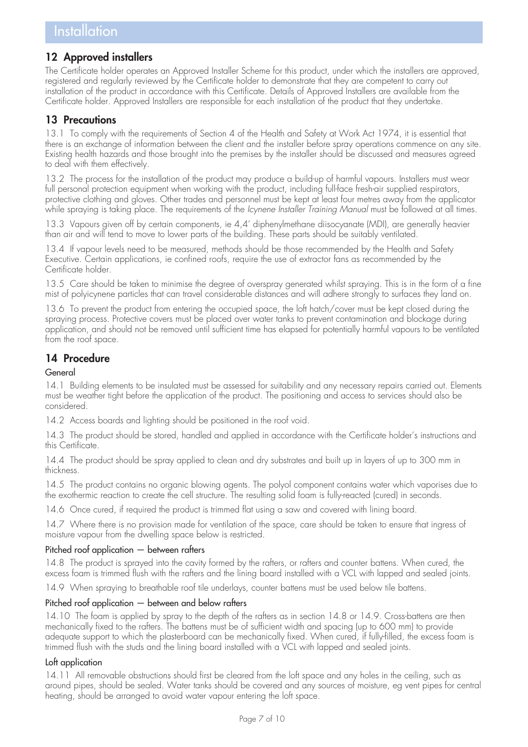## **12 Approved installers**

The Certificate holder operates an Approved Installer Scheme for this product, under which the installers are approved, registered and regularly reviewed by the Certificate holder to demonstrate that they are competent to carry out installation of the product in accordance with this Certificate. Details of Approved Installers are available from the Certificate holder. Approved Installers are responsible for each installation of the product that they undertake.

## **13 Precautions**

13.1 To comply with the requirements of Section 4 of the Health and Safety at Work Act 1974, it is essential that there is an exchange of information between the client and the installer before spray operations commence on any site. Existing health hazards and those brought into the premises by the installer should be discussed and measures agreed to deal with them effectively.

13.2 The process for the installation of the product may produce a build-up of harmful vapours. Installers must wear full personal protection equipment when working with the product, including full-face fresh-air supplied respirators, protective clothing and gloves. Other trades and personnel must be kept at least four metres away from the applicator while spraying is taking place. The requirements of the *Icynene Installer Training Manual* must be followed at all times.

13.3 Vapours given off by certain components, ie 4,4' diphenylmethane diisocyanate (MDI), are generally heavier than air and will tend to move to lower parts of the building. These parts should be suitably ventilated.

13.4 If vapour levels need to be measured, methods should be those recommended by the Health and Safety Executive. Certain applications, ie confined roofs, require the use of extractor fans as recommended by the Certificate holder.

13.5 Care should be taken to minimise the degree of overspray generated whilst spraying. This is in the form of a fine mist of polyicynene particles that can travel considerable distances and will adhere strongly to surfaces they land on.

13.6 To prevent the product from entering the occupied space, the loft hatch/cover must be kept closed during the spraying process. Protective covers must be placed over water tanks to prevent contamination and blockage during application, and should not be removed until sufficient time has elapsed for potentially harmful vapours to be ventilated from the roof space.

## **14 Procedure**

#### General

14.1 Building elements to be insulated must be assessed for suitability and any necessary repairs carried out. Elements must be weather tight before the application of the product. The positioning and access to services should also be considered.

14.2 Access boards and lighting should be positioned in the roof void.

14.3 The product should be stored, handled and applied in accordance with the Certificate holder's instructions and this Certificate.

14.4 The product should be spray applied to clean and dry substrates and built up in layers of up to 300 mm in thickness.

14.5 The product contains no organic blowing agents. The polyol component contains water which vaporises due to the exothermic reaction to create the cell structure. The resulting solid foam is fully-reacted (cured) in seconds.

14.6 Once cured, if required the product is trimmed flat using a saw and covered with lining board.

14.7 Where there is no provision made for ventilation of the space, care should be taken to ensure that ingress of moisture vapour from the dwelling space below is restricted.

#### Pitched roof application — between rafters

14.8 The product is sprayed into the cavity formed by the rafters, or rafters and counter battens. When cured, the excess foam is trimmed flush with the rafters and the lining board installed with a VCL with lapped and sealed joints.

14.9 When spraying to breathable roof tile underlays, counter battens must be used below tile battens.

#### Pitched roof application — between and below rafters

14.10 The foam is applied by spray to the depth of the rafters as in section 14.8 or 14.9. Cross-battens are then mechanically fixed to the rafters. The battens must be of sufficient width and spacing (up to 600 mm) to provide adequate support to which the plasterboard can be mechanically fixed. When cured, if fully-filled, the excess foam is trimmed flush with the studs and the lining board installed with a VCL with lapped and sealed joints.

#### Loft application

14.11 All removable obstructions should first be cleared from the loft space and any holes in the ceiling, such as around pipes, should be sealed. Water tanks should be covered and any sources of moisture, eg vent pipes for central heating, should be arranged to avoid water vapour entering the loft space.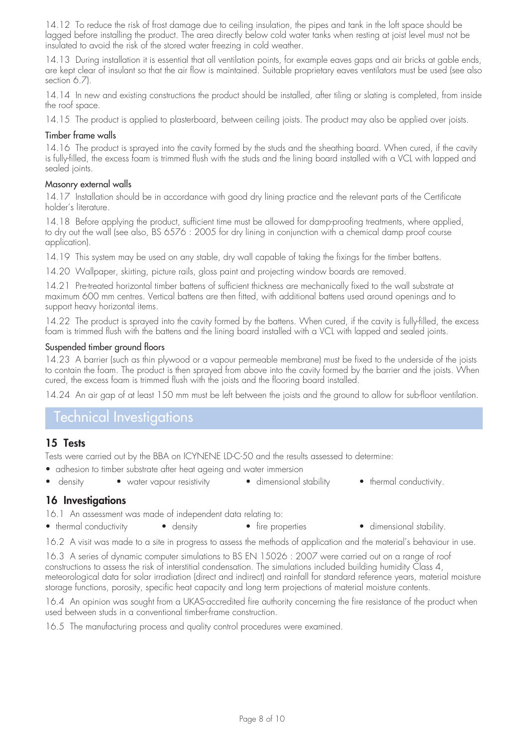14.12 To reduce the risk of frost damage due to ceiling insulation, the pipes and tank in the loft space should be lagged before installing the product. The area directly below cold water tanks when resting at joist level must not be insulated to avoid the risk of the stored water freezing in cold weather.

14.13 During installation it is essential that all ventilation points, for example eaves gaps and air bricks at gable ends, are kept clear of insulant so that the air flow is maintained. Suitable proprietary eaves ventilators must be used (see also section 6.7).

14.14 In new and existing constructions the product should be installed, after tiling or slating is completed, from inside the roof space.

14.15 The product is applied to plasterboard, between ceiling joists. The product may also be applied over joists.

#### Timber frame walls

14.16 The product is sprayed into the cavity formed by the studs and the sheathing board. When cured, if the cavity is fully-filled, the excess foam is trimmed flush with the studs and the lining board installed with a VCL with lapped and sealed joints.

#### Masonry external walls

14.17 Installation should be in accordance with good dry lining practice and the relevant parts of the Certificate holder's literature.

14.18 Before applying the product, sufficient time must be allowed for damp-proofing treatments, where applied, to dry out the wall (see also, BS 6576 : 2005 for dry lining in conjunction with a chemical damp proof course application).

14.19 This system may be used on any stable, dry wall capable of taking the fixings for the timber battens.

14.20 Wallpaper, skirting, picture rails, gloss paint and projecting window boards are removed.

14.21 Pre-treated horizontal timber battens of sufficient thickness are mechanically fixed to the wall substrate at maximum 600 mm centres. Vertical battens are then fitted, with additional battens used around openings and to support heavy horizontal items.

14.22 The product is sprayed into the cavity formed by the battens. When cured, if the cavity is fully-filled, the excess foam is trimmed flush with the battens and the lining board installed with a VCL with lapped and sealed joints.

#### Suspended timber ground floors

14.23 A barrier (such as thin plywood or a vapour permeable membrane) must be fixed to the underside of the joists to contain the foam. The product is then sprayed from above into the cavity formed by the barrier and the joists. When cured, the excess foam is trimmed flush with the joists and the flooring board installed.

14.24 An air gap of at least 150 mm must be left between the joists and the ground to allow for sub-floor ventilation.

## Technical Investigations

## **15 Tests**

Tests were carried out by the BBA on ICYNENE LD-C-50 and the results assessed to determine:

- adhesion to timber substrate after heat ageing and water immersion
- density water vapour resistivity dimensional stability thermal conductivity.
- **16 Investigations**
- 16.1 An assessment was made of independent data relating to:
- thermal conductivity density the properties dimensional stability.
	-

16.2 A visit was made to a site in progress to assess the methods of application and the material's behaviour in use.

16.3 A series of dynamic computer simulations to BS EN 15026 : 2007 were carried out on a range of roof constructions to assess the risk of interstitial condensation. The simulations included building humidity Class 4, meteorological data for solar irradiation (direct and indirect) and rainfall for standard reference years, material moisture storage functions, porosity, specific heat capacity and long term projections of material moisture contents.

16.4 An opinion was sought from a UKAS-accredited fire authority concerning the fire resistance of the product when used between studs in a conventional timber-frame construction.

16.5 The manufacturing process and quality control procedures were examined.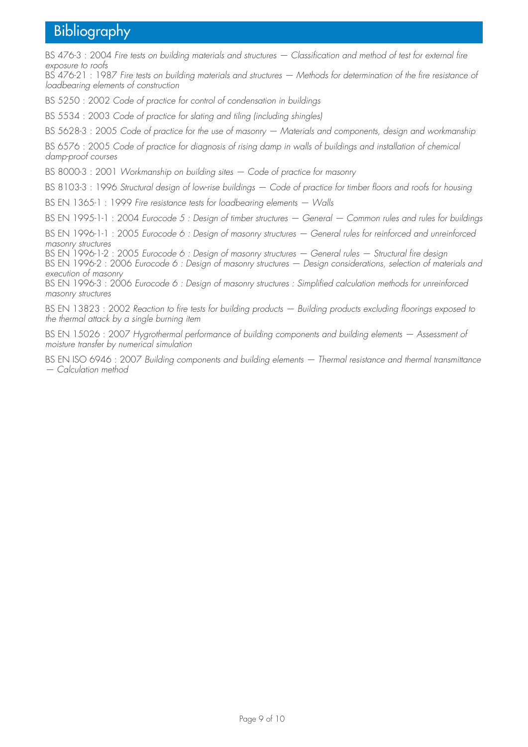## Bibliography

BS 476-3 : 2004 *Fire tests on building materials and structures — Classification and method of test for external fire exposure to roofs*

BS 476-21 : 1987 *Fire tests on building materials and structures — Methods for determination of the fire resistance of loadbearing elements of construction*

BS 5250 : 2002 *Code of practice for control of condensation in buildings*

BS 5534 : 2003 *Code of practice for slating and tiling (including shingles)*

BS 5628-3 : 2005 *Code of practice for the use of masonry — Materials and components, design and workmanship*

BS 6576 : 2005 *Code of practice for diagnosis of rising damp in walls of buildings and installation of chemical damp-proof courses*

BS 8000-3 : 2001 *Workmanship on building sites — Code of practice for masonry*

BS 8103-3 : 1996 *Structural design of low-rise buildings — Code of practice for timber floors and roofs for housing*

BS EN 1365-1 : 1999 *Fire resistance tests for loadbearing elements — Walls*

BS EN 1995-1-1 : 2004 *Eurocode 5 : Design of timber structures — General — Common rules and rules for buildings*

BS EN 1996-1-1 : 2005 *Eurocode 6 : Design of masonry structures — General rules for reinforced and unreinforced masonry structures*

BS EN 1996-1-2 : 2005 *Eurocode 6 : Design of masonry structures — General rules — Structural fire design* BS EN 1996-2 : 2006 *Eurocode 6 : Design of masonry structures — Design considerations, selection of materials and execution of masonry*

BS EN 1996-3 : 2006 *Eurocode 6 : Design of masonry structures : Simplified calculation methods for unreinforced masonry structures*

BS EN 13823 : 2002 *Reaction to fire tests for building products — Building products excluding floorings exposed to the thermal attack by a single burning item*

BS EN 15026 : 2007 *Hygrothermal performance of building components and building elements — Assessment of moisture transfer by numerical simulation*

BS EN ISO 6946 : 2007 *Building components and building elements — Thermal resistance and thermal transmittance — Calculation method*